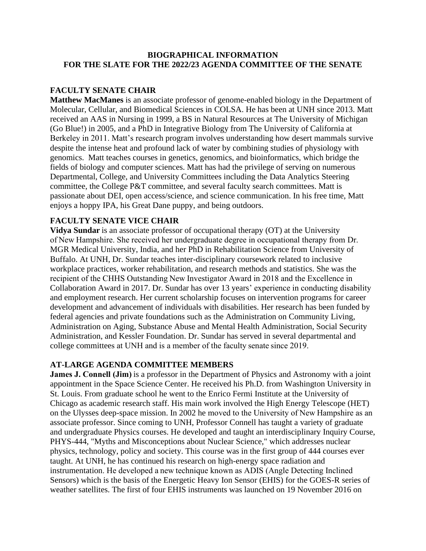### **BIOGRAPHICAL INFORMATION FOR THE SLATE FOR THE 2022/23 AGENDA COMMITTEE OF THE SENATE**

# **FACULTY SENATE CHAIR**

**Matthew MacManes** is an associate professor of genome-enabled biology in the Department of Molecular, Cellular, and Biomedical Sciences in COLSA. He has been at UNH since 2013. Matt received an AAS in Nursing in 1999, a BS in Natural Resources at The University of Michigan (Go Blue!) in 2005, and a PhD in Integrative Biology from The University of California at Berkeley in 2011. Matt's research program involves understanding how desert mammals survive despite the intense heat and profound lack of water by combining studies of physiology with genomics. Matt teaches courses in genetics, genomics, and bioinformatics, which bridge the fields of biology and computer sciences. Matt has had the privilege of serving on numerous Departmental, College, and University Committees including the Data Analytics Steering committee, the College P&T committee, and several faculty search committees. Matt is passionate about DEI, open access/science, and science communication. In his free time, Matt enjoys a hoppy IPA, his Great Dane puppy, and being outdoors.

## **FACULTY SENATE VICE CHAIR**

**Vidya Sundar** is an associate professor of occupational therapy (OT) at the University of New Hampshire. She received her undergraduate degree in occupational therapy from Dr. MGR Medical University, India, and her PhD in Rehabilitation Science from University of Buffalo. At UNH, Dr. Sundar teaches inter-disciplinary coursework related to inclusive workplace practices, worker rehabilitation, and research methods and statistics. She was the recipient of the CHHS Outstanding New Investigator Award in 2018 and the Excellence in Collaboration Award in 2017. Dr. Sundar has over 13 years' experience in conducting disability and employment research. Her current scholarship focuses on intervention programs for career development and advancement of individuals with disabilities. Her research has been funded by federal agencies and private foundations such as the Administration on Community Living, Administration on Aging, Substance Abuse and Mental Health Administration, Social Security Administration, and Kessler Foundation. Dr. Sundar has served in several departmental and college committees at UNH and is a member of the faculty senate since 2019. 

## **AT-LARGE AGENDA COMMITTEE MEMBERS**

**James J. Connell (Jim)** is a professor in the Department of Physics and Astronomy with a joint appointment in the Space Science Center. He received his Ph.D. from Washington University in St. Louis. From graduate school he went to the Enrico Fermi Institute at the University of Chicago as academic research staff. His main work involved the High Energy Telescope (HET) on the Ulysses deep-space mission. In 2002 he moved to the University of New Hampshire as an associate professor. Since coming to UNH, Professor Connell has taught a variety of graduate and undergraduate Physics courses. He developed and taught an interdisciplinary Inquiry Course, PHYS-444, "Myths and Misconceptions about Nuclear Science," which addresses nuclear physics, technology, policy and society. This course was in the first group of 444 courses ever taught. At UNH, he has continued his research on high-energy space radiation and instrumentation. He developed a new technique known as ADIS (Angle Detecting Inclined Sensors) which is the basis of the Energetic Heavy Ion Sensor (EHIS) for the GOES-R series of weather satellites. The first of four EHIS instruments was launched on 19 November 2016 on